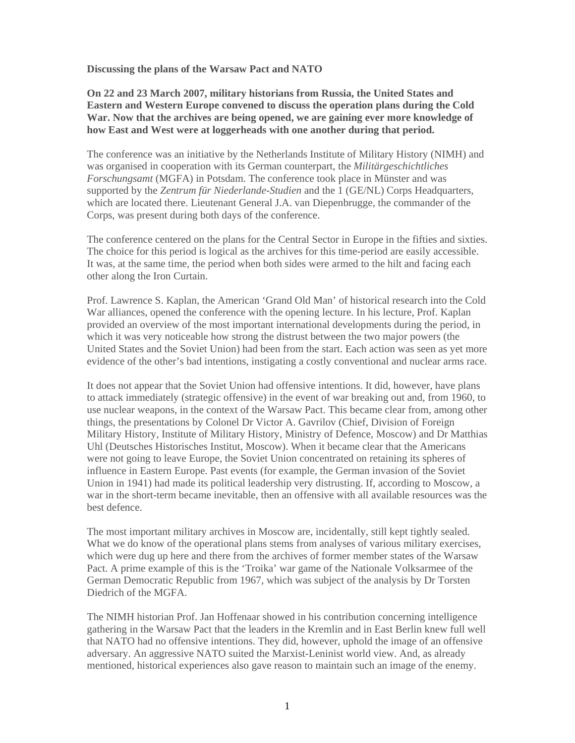**Discussing the plans of the Warsaw Pact and NATO** 

**On 22 and 23 March 2007, military historians from Russia, the United States and Eastern and Western Europe convened to discuss the operation plans during the Cold War. Now that the archives are being opened, we are gaining ever more knowledge of how East and West were at loggerheads with one another during that period.**

The conference was an initiative by the Netherlands Institute of Military History (NIMH) and was organised in cooperation with its German counterpart, the *Militärgeschichtliches Forschungsamt* (MGFA) in Potsdam. The conference took place in Münster and was supported by the *Zentrum für Niederlande-Studien* and the 1 (GE/NL) Corps Headquarters, which are located there. Lieutenant General J.A. van Diepenbrugge, the commander of the Corps, was present during both days of the conference.

The conference centered on the plans for the Central Sector in Europe in the fifties and sixties. The choice for this period is logical as the archives for this time-period are easily accessible. It was, at the same time, the period when both sides were armed to the hilt and facing each other along the Iron Curtain.

Prof. Lawrence S. Kaplan, the American 'Grand Old Man' of historical research into the Cold War alliances, opened the conference with the opening lecture. In his lecture, Prof. Kaplan provided an overview of the most important international developments during the period, in which it was very noticeable how strong the distrust between the two major powers (the United States and the Soviet Union) had been from the start. Each action was seen as yet more evidence of the other's bad intentions, instigating a costly conventional and nuclear arms race.

It does not appear that the Soviet Union had offensive intentions. It did, however, have plans to attack immediately (strategic offensive) in the event of war breaking out and, from 1960, to use nuclear weapons, in the context of the Warsaw Pact. This became clear from, among other things, the presentations by Colonel Dr Victor A. Gavrilov (Chief, Division of Foreign Military History, Institute of Military History, Ministry of Defence, Moscow) and Dr Matthias Uhl (Deutsches Historisches Institut, Moscow). When it became clear that the Americans were not going to leave Europe, the Soviet Union concentrated on retaining its spheres of influence in Eastern Europe. Past events (for example, the German invasion of the Soviet Union in 1941) had made its political leadership very distrusting. If, according to Moscow, a war in the short-term became inevitable, then an offensive with all available resources was the best defence.

The most important military archives in Moscow are, incidentally, still kept tightly sealed. What we do know of the operational plans stems from analyses of various military exercises, which were dug up here and there from the archives of former member states of the Warsaw Pact. A prime example of this is the 'Troika' war game of the Nationale Volksarmee of the German Democratic Republic from 1967, which was subject of the analysis by Dr Torsten Diedrich of the MGFA.

The NIMH historian Prof. Jan Hoffenaar showed in his contribution concerning intelligence gathering in the Warsaw Pact that the leaders in the Kremlin and in East Berlin knew full well that NATO had no offensive intentions. They did, however, uphold the image of an offensive adversary. An aggressive NATO suited the Marxist-Leninist world view. And, as already mentioned, historical experiences also gave reason to maintain such an image of the enemy.